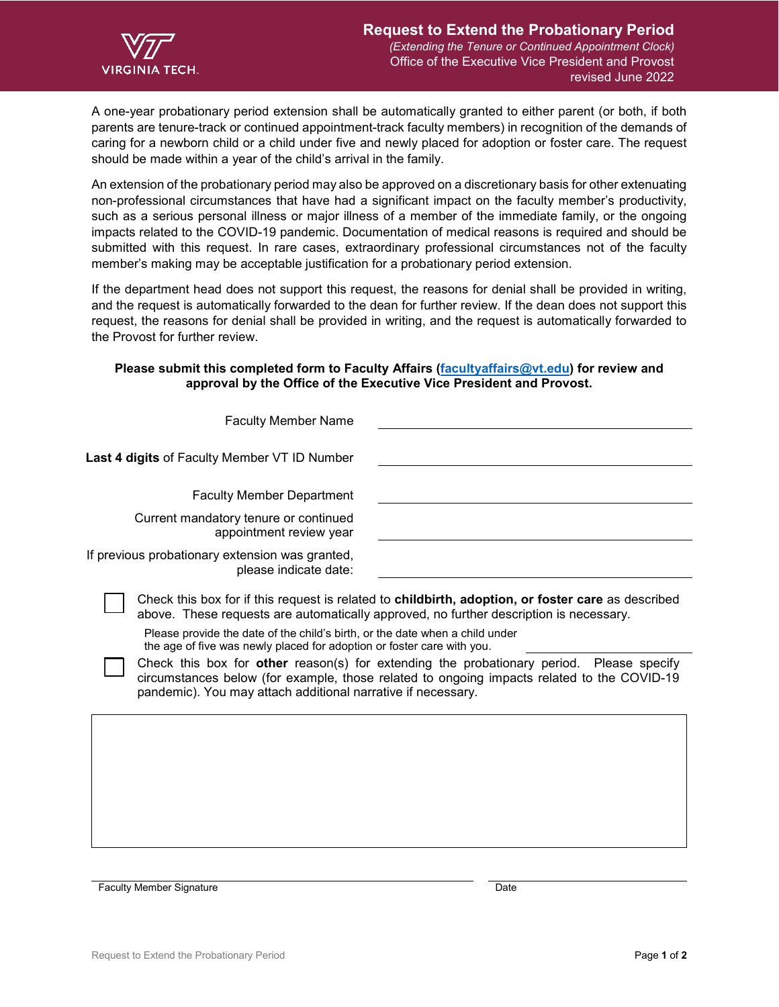

A one-year probationary period extension shall be automatically granted to either parent (or both, if both parents are tenure-track or continued appointment-track faculty members) in recognition of the demands of caring for a newborn child or a child under five and newly placed for adoption or foster care. The request should be made within a year of the child's arrival in the family.

An extension of the probationary period may also be approved on a discretionary basis for other extenuating non-professional circumstances that have had a significant impact on the faculty member's productivity, such as a serious personal illness or major illness of a member of the immediate family, or the ongoing impacts related to the COVID-19 pandemic. Documentation of medical reasons is required and should be submitted with this request. In rare cases, extraordinary professional circumstances not of the faculty member's making may be acceptable justification for a probationary period extension.

If the department head does not support this request, the reasons for denial shall be provided in writing, and the request is automatically forwarded to the dean for further review. If the dean does not support this request, the reasons for denial shall be provided in writing, and the request is automatically forwarded to the Provost for further review.

## **Please submit this completed form to Faculty Affairs [\(facultyaffairs@vt.edu\)](mailto:facultyaffairs@vt.edu) for review and approval by the Office of the Executive Vice President and Provost.**

| <b>Faculty Member Name</b>                                                                                                                                                                                             |                                                                                                                                                                                                                                                                                                                                                                                               |
|------------------------------------------------------------------------------------------------------------------------------------------------------------------------------------------------------------------------|-----------------------------------------------------------------------------------------------------------------------------------------------------------------------------------------------------------------------------------------------------------------------------------------------------------------------------------------------------------------------------------------------|
| <b>Last 4 digits of Faculty Member VT ID Number</b>                                                                                                                                                                    |                                                                                                                                                                                                                                                                                                                                                                                               |
| <b>Faculty Member Department</b>                                                                                                                                                                                       |                                                                                                                                                                                                                                                                                                                                                                                               |
| Current mandatory tenure or continued<br>appointment review year                                                                                                                                                       |                                                                                                                                                                                                                                                                                                                                                                                               |
| If previous probationary extension was granted,<br>please indicate date:                                                                                                                                               |                                                                                                                                                                                                                                                                                                                                                                                               |
| Please provide the date of the child's birth, or the date when a child under<br>the age of five was newly placed for adoption or foster care with you.<br>pandemic). You may attach additional narrative if necessary. | Check this box for if this request is related to <b>childbirth, adoption, or foster care</b> as described<br>above. These requests are automatically approved, no further description is necessary.<br>Check this box for other reason(s) for extending the probationary period. Please specify<br>circumstances below (for example, those related to ongoing impacts related to the COVID-19 |
|                                                                                                                                                                                                                        |                                                                                                                                                                                                                                                                                                                                                                                               |

Faculty Member Signature Date